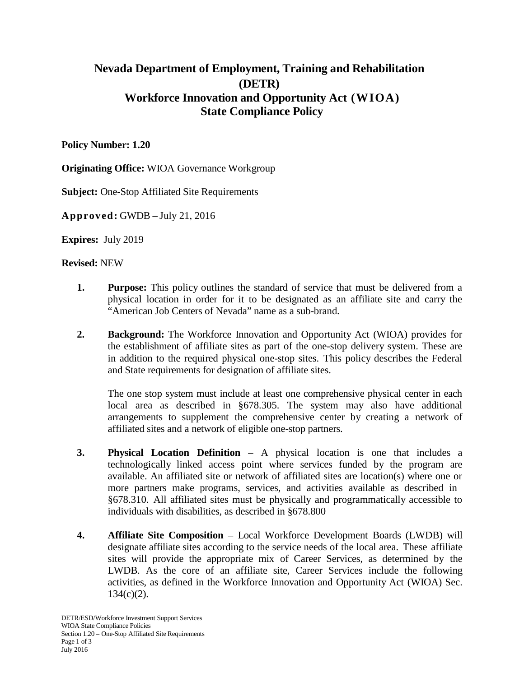## **Nevada Department of Employment, Training and Rehabilitation (DETR) Workforce Innovation and Opportunity Act (WIOA) State Compliance Policy**

## **Policy Number: 1.20**

**Originating Office:** WIOA Governance Workgroup

**Subject:** One-Stop Affiliated Site Requirements

**Approved:** GWDB – July 21, 2016

**Expires:** July 2019

## **Revised:** NEW

- **1. Purpose:** This policy outlines the standard of service that must be delivered from a physical location in order for it to be designated as an affiliate site and carry the "American Job Centers of Nevada" name as a sub-brand.
- **2. Background:** The Workforce Innovation and Opportunity Act (WIOA) provides for the establishment of affiliate sites as part of the one-stop delivery system. These are in addition to the required physical one-stop sites. This policy describes the Federal and State requirements for designation of affiliate sites.

The one stop system must include at least one comprehensive physical center in each local area as described in §678.305. The system may also have additional arrangements to supplement the comprehensive center by creating a network of affiliated sites and a network of eligible one-stop partners.

- **3. Physical Location Definition** A physical location is one that includes a technologically linked access point where services funded by the program are available. An affiliated site or network of affiliated sites are location(s) where one or more partners make programs, services, and activities available as described in §678.310. All affiliated sites must be physically and programmatically accessible to individuals with disabilities, as described in §678.800
- **4. Affiliate Site Composition** Local Workforce Development Boards (LWDB) will designate affiliate sites according to the service needs of the local area. These affiliate sites will provide the appropriate mix of Career Services, as determined by the LWDB. As the core of an affiliate site, Career Services include the following activities, as defined in the Workforce Innovation and Opportunity Act (WIOA) Sec.  $134(c)(2)$ .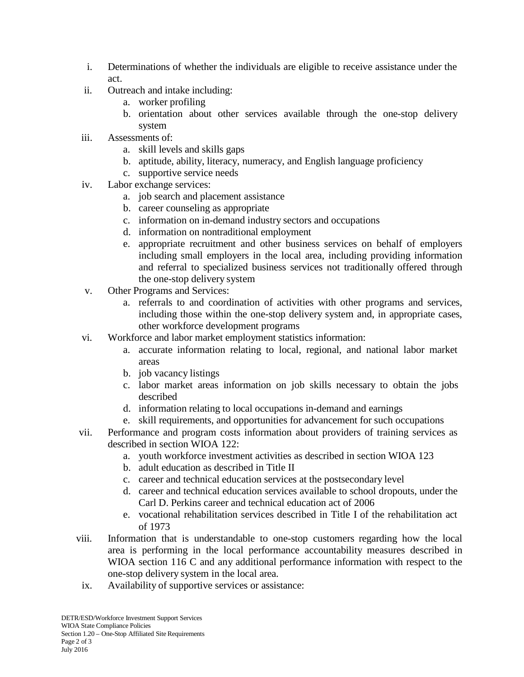- i. Determinations of whether the individuals are eligible to receive assistance under the act.
- ii. Outreach and intake including:
	- a. worker profiling
	- b. orientation about other services available through the one-stop delivery system
- iii. Assessments of:
	- a. skill levels and skills gaps
	- b. aptitude, ability, literacy, numeracy, and English language proficiency
	- c. supportive service needs
- iv. Labor exchange services:
	- a. job search and placement assistance
	- b. career counseling as appropriate
	- c. information on in-demand industry sectors and occupations
	- d. information on nontraditional employment
	- e. appropriate recruitment and other business services on behalf of employers including small employers in the local area, including providing information and referral to specialized business services not traditionally offered through the one-stop delivery system
- v. Other Programs and Services:
	- a. referrals to and coordination of activities with other programs and services, including those within the one-stop delivery system and, in appropriate cases, other workforce development programs
- vi. Workforce and labor market employment statistics information:
	- a. accurate information relating to local, regional, and national labor market areas
	- b. job vacancy listings
	- c. labor market areas information on job skills necessary to obtain the jobs described
	- d. information relating to local occupations in-demand and earnings
	- e. skill requirements, and opportunities for advancement for such occupations
- vii. Performance and program costs information about providers of training services as described in section WIOA 122:
	- a. youth workforce investment activities as described in section WIOA 123
	- b. adult education as described in Title II
	- c. career and technical education services at the postsecondary level
	- d. career and technical education services available to school dropouts, under the Carl D. Perkins career and technical education act of 2006
	- e. vocational rehabilitation services described in Title I of the rehabilitation act of 1973
- viii. Information that is understandable to one-stop customers regarding how the local area is performing in the local performance accountability measures described in WIOA section 116 C and any additional performance information with respect to the one-stop delivery system in the local area.
- ix. Availability of supportive services or assistance: